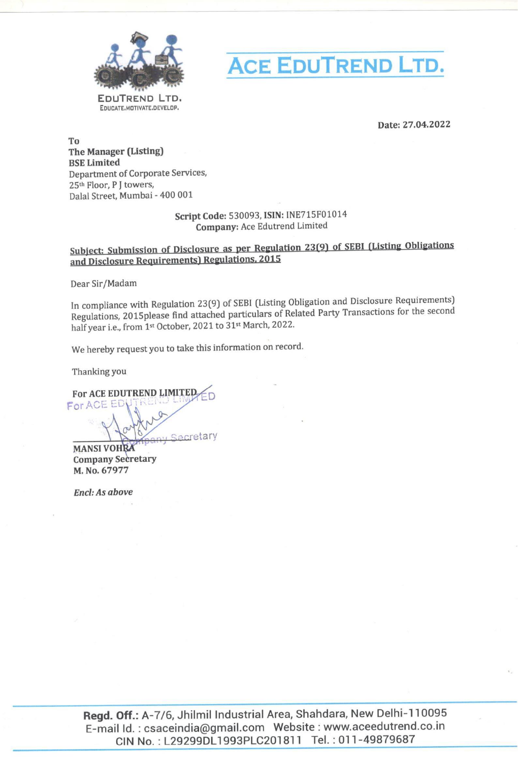



Date: 27.04.2022

To The Manager (Listing) BSE Limited Department of Corporate Services, 25<sup>th</sup> Floor, P J towers, Dalal Street, Mumbai - 400 001

## Script Code: 530093, ISIN: INE715F01014 Company: Ace Edutrend Limited

Dear Sir/Madam

In compliance with Regulation 23(9) of SEBI (Listing Obligation and Disclosure Requirements) Regulations, 2015please find attached particulars of Related Party Transactions for the second half year i.e., from 1st October, 2021 to 31st March, 2022. Script Coale: 330093, ISBN: INE71567013<br>
Company: Ace Edurical Limited<br>
and Discolare Equivernential Regulations. 2013<br>
Den Sir/Madam<br>
In compliance with Regulation 23(9) of SEBI (Listing Obligation and Discolare Requirem

We hereby request you to take this information on record.

Thanking you

Company Secretary M. No. 67977

Encl: As above